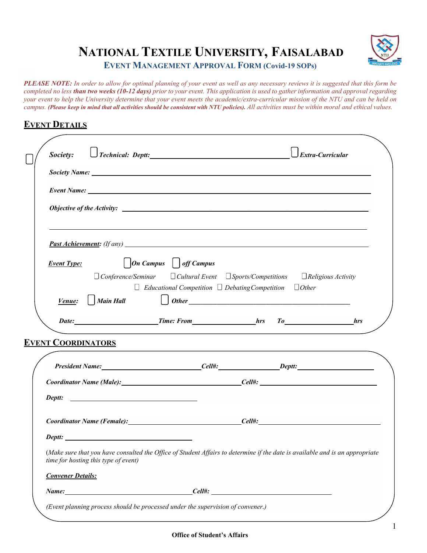

# **NATIONAL TEXTILE UNIVERSITY, FAISALABAD**

**EVENT MANAGEMENT APPROVAL FORM (Covid-19 SOPs)**

*PLEASE NOTE: In order to allow for optimal planning of your event as well as any necessary reviews it is suggested that this form be*  completed no less than two weeks (10-12 days) prior to your event. This application is used to gather information and approval regarding *your event to help the University determine that your event meets the academic/extra-curricular mission of the NTU and can be held on campus. (Please keep in mind that all activities should be consistent with NTU policies). All activities must be within moral and ethical values.*

#### **EVENT DETAILS**

| Society:                             |                                                                         |                                                                                                                              |
|--------------------------------------|-------------------------------------------------------------------------|------------------------------------------------------------------------------------------------------------------------------|
|                                      |                                                                         |                                                                                                                              |
|                                      |                                                                         |                                                                                                                              |
|                                      |                                                                         |                                                                                                                              |
|                                      |                                                                         |                                                                                                                              |
| <b>Event Type:</b>                   | $\bigcup$ On Campus $\bigcup$ off Campus                                |                                                                                                                              |
|                                      |                                                                         | $\Box$ Conference/Seminar $\Box$ Cultural Event $\Box$ Sports/Competitions $\Box$ Religious Activity                         |
| Venue: $\vert$ Main Hall             | $\Box$ Educational Competition $\Box$ Debating Competition $\Box$ Other | $\bigcup$ Other                                                                                                              |
|                                      |                                                                         |                                                                                                                              |
| <b>EVENT COORDINATORS</b>            |                                                                         | and the control of the control of the control of the control of the control of the control of the control of the             |
|                                      |                                                                         |                                                                                                                              |
|                                      |                                                                         | Coordinator Name (Male): Coordinator Name (Male):                                                                            |
| Deptt:                               |                                                                         |                                                                                                                              |
|                                      |                                                                         | Coordinator Name (Female): Coordinator Name (Female):                                                                        |
| Deptt:                               |                                                                         |                                                                                                                              |
| time for hosting this type of event) |                                                                         | (Make sure that you have consulted the Office of Student Affairs to determine if the date is available and is an appropriate |
| <b>Convener Details:</b>             |                                                                         |                                                                                                                              |
|                                      |                                                                         |                                                                                                                              |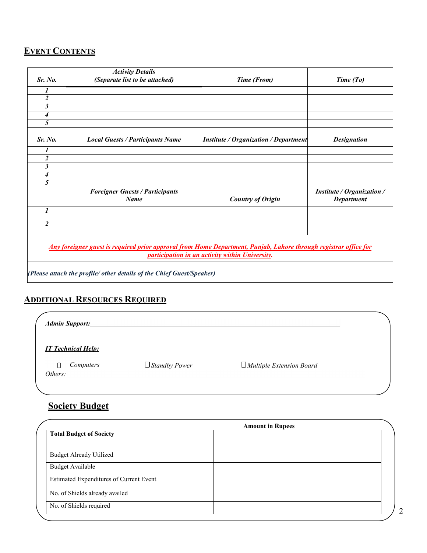#### **EVENT CONTENTS**

|                                                                                                                                                                            | <b>Activity Details</b>                               |                                              |                                                        |  |  |  |
|----------------------------------------------------------------------------------------------------------------------------------------------------------------------------|-------------------------------------------------------|----------------------------------------------|--------------------------------------------------------|--|--|--|
| Sr. No.                                                                                                                                                                    | (Separate list to be attached)                        | Time (From)                                  | Time (To)                                              |  |  |  |
|                                                                                                                                                                            |                                                       |                                              |                                                        |  |  |  |
| $\overline{2}$                                                                                                                                                             |                                                       |                                              |                                                        |  |  |  |
| 3                                                                                                                                                                          |                                                       |                                              |                                                        |  |  |  |
| $\overline{\mathcal{A}}$                                                                                                                                                   |                                                       |                                              |                                                        |  |  |  |
| 5                                                                                                                                                                          |                                                       |                                              |                                                        |  |  |  |
| Sr. No.                                                                                                                                                                    | <b>Local Guests / Participants Name</b>               | <b>Institute / Organization / Department</b> | <b>Designation</b>                                     |  |  |  |
|                                                                                                                                                                            |                                                       |                                              |                                                        |  |  |  |
| $\boldsymbol{2}$                                                                                                                                                           |                                                       |                                              |                                                        |  |  |  |
| 3                                                                                                                                                                          |                                                       |                                              |                                                        |  |  |  |
| 4                                                                                                                                                                          |                                                       |                                              |                                                        |  |  |  |
| 5                                                                                                                                                                          |                                                       |                                              |                                                        |  |  |  |
|                                                                                                                                                                            | <b>Foreigner Guests / Participants</b><br><b>Name</b> | <b>Country of Origin</b>                     | <b>Institute / Organization /</b><br><b>Department</b> |  |  |  |
| $\boldsymbol{l}$                                                                                                                                                           |                                                       |                                              |                                                        |  |  |  |
| $\overline{c}$                                                                                                                                                             |                                                       |                                              |                                                        |  |  |  |
| <u>Any foreigner guest is required prior approval from Home Department, Punjab, Lahore through registrar office for</u><br>participation in an activity within University. |                                                       |                                              |                                                        |  |  |  |
| (Please attach the profile/ other details of the Chief Guest/Speaker)                                                                                                      |                                                       |                                              |                                                        |  |  |  |

### **ADDITIONAL RESOURCES REQUIRED**

| <b>Admin Support:</b>     |                      |                                 |  |
|---------------------------|----------------------|---------------------------------|--|
| <b>IT Technical Help:</b> |                      |                                 |  |
| Computers<br>Others:      | $\Box$ Standby Power | $\Box$ Multiple Extension Board |  |
|                           |                      |                                 |  |

## **Society Budget**

|                                                | <b>Amount in Rupees</b> |  |
|------------------------------------------------|-------------------------|--|
| <b>Total Budget of Society</b>                 |                         |  |
|                                                |                         |  |
| <b>Budget Already Utilized</b>                 |                         |  |
| <b>Budget Available</b>                        |                         |  |
| <b>Estimated Expenditures of Current Event</b> |                         |  |
| No. of Shields already availed                 |                         |  |
| No. of Shields required                        |                         |  |
|                                                |                         |  |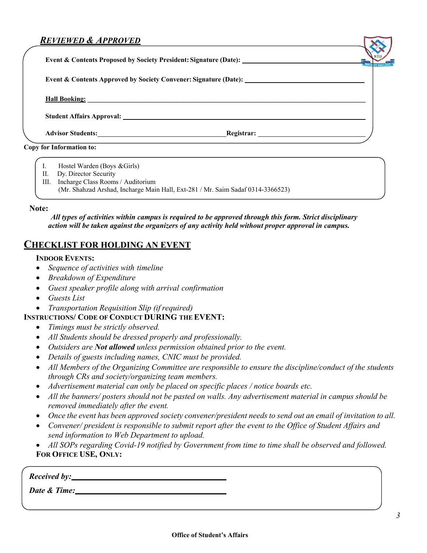#### *REVIEWED & APPROVED*

**Event & Contents Proposed by Society President: Signature (Date):**

**Event & Contents Approved by Society Convener: Signature (Date):**

**Hall Booking: \_\_\_\_\_\_\_\_\_\_\_\_\_\_\_\_\_\_\_\_\_\_\_\_\_\_\_\_\_\_\_\_\_\_\_\_\_\_\_\_\_\_\_\_\_\_\_\_\_\_\_\_\_\_\_\_\_\_\_\_\_\_\_\_\_\_\_\_\_\_\_\_\_\_\_\_\_\_\_\_\_\_**

**Student Affairs Approval:**

**Advisor Students: Registrar: Registrar: Registrar: Registrar: Registrar: Registrar: Registrar: Registrar: Registrar: Registrar: Registrar: Registrar: Registrar: Registrar: Registrar: Regist** 

**Copy for Information to:**

- I. Hostel Warden (Boys &Girls)
- II. Dy. Director Security
- III. Incharge Class Rooms / Auditorium
	- (Mr. Shahzad Arshad, Incharge Main Hall, Ext-281 / Mr. Saim Sadaf 0314-3366523)

**Note:**

*All types of activities within campus is required to be approved through this form. Strict disciplinary action will be taken against the organizers of any activity held without proper approval in campus.*

#### **CHECKLIST FOR HOLDING AN EVENT**

#### **INDOOR EVENTS:**

- *Sequence of activities with timeline*
- *Breakdown of Expenditure*
- *Guest speaker profile along with arrival confirmation*
- *Guests List*
- *Transportation Requisition Slip (if required)*

#### **INSTRUCTIONS/ CODE OF CONDUCT DURING THE EVENT:**

- *Timings must be strictly observed.*
- *All Students should be dressed properly and professionally.*
- *Outsiders are Not allowed unless permission obtained prior to the event.*
- *Details of guests including names, CNIC must be provided.*
- *All Members of the Organizing Committee are responsible to ensure the discipline/conduct of the students through CRs and society/organizing team members.*
- *Advertisement material can only be placed on specific places / notice boards etc.*
- *All the banners/ posters should not be pasted on walls. Any advertisement material in campus should be removed immediately after the event.*
- Once the event has been approved society convener/president needs to send out an email of invitation to all.
- *Convener/ president is responsible to submit report after the event to the Office of Student Affairs and send information to Web Department to upload.*
- *All SOPs regarding Covid-19 notified by Government from time to time shall be observed and followed.* **FOR OFFICE USE, ONLY:**

*Received by:*

*Date & Time:*